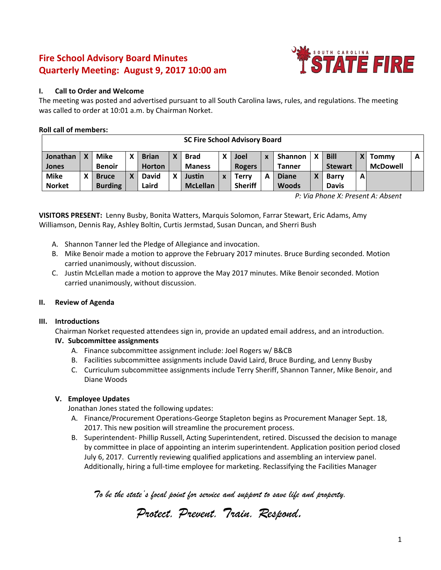# **Fire School Advisory Board Minutes Quarterly Meeting: August 9, 2017 10:00 am**



# **I. Call to Order and Welcome**

The meeting was posted and advertised pursuant to all South Carolina laws, rules, and regulations. The meeting was called to order at 10:01 a.m. by Chairman Norket.

# **Roll call of members:**

| <b>SC Fire School Advisory Board</b> |  |                |  |               |   |                 |  |                |   |                |  |                |   |                 |   |
|--------------------------------------|--|----------------|--|---------------|---|-----------------|--|----------------|---|----------------|--|----------------|---|-----------------|---|
| Jonathan                             |  | Mike           |  | <b>Brian</b>  | χ | <b>Brad</b>     |  | <b>Joel</b>    | X | <b>Shannon</b> |  | <b>Bill</b>    |   | Tommy           | A |
| <b>Jones</b>                         |  | <b>Benoir</b>  |  | <b>Horton</b> |   | <b>Maness</b>   |  | <b>Rogers</b>  |   | <b>Tanner</b>  |  | <b>Stewart</b> |   | <b>McDowell</b> |   |
| <b>Mike</b>                          |  | <b>Bruce</b>   |  | <b>David</b>  | x | Justin          |  | <b>Terry</b>   | А | <b>Diane</b>   |  | <b>Barry</b>   | A |                 |   |
| <b>Norket</b>                        |  | <b>Burding</b> |  | Laird         |   | <b>McLellan</b> |  | <b>Sheriff</b> |   | <b>Woods</b>   |  | <b>Davis</b>   |   |                 |   |

*P: Via Phone X: Present A: Absent*

**VISITORS PRESENT:** Lenny Busby, Bonita Watters, Marquis Solomon, Farrar Stewart, Eric Adams, Amy Williamson, Dennis Ray, Ashley Boltin, Curtis Jermstad, Susan Duncan, and Sherri Bush

- A. Shannon Tanner led the Pledge of Allegiance and invocation.
- B. Mike Benoir made a motion to approve the February 2017 minutes. Bruce Burding seconded. Motion carried unanimously, without discussion.
- C. Justin McLellan made a motion to approve the May 2017 minutes. Mike Benoir seconded. Motion carried unanimously, without discussion.

# **II. Review of Agenda**

# **III. Introductions**

Chairman Norket requested attendees sign in, provide an updated email address, and an introduction.

# **IV. Subcommittee assignments**

- A. Finance subcommittee assignment include: Joel Rogers w/ B&CB
- B. Facilities subcommittee assignments include David Laird, Bruce Burding, and Lenny Busby
- C. Curriculum subcommittee assignments include Terry Sheriff, Shannon Tanner, Mike Benoir, and Diane Woods

# **V. Employee Updates**

Jonathan Jones stated the following updates:

- A. Finance/Procurement Operations-George Stapleton begins as Procurement Manager Sept. 18, 2017. This new position will streamline the procurement process.
- B. Superintendent- Phillip Russell, Acting Superintendent, retired. Discussed the decision to manage by committee in place of appointing an interim superintendent. Application position period closed July 6, 2017. Currently reviewing qualified applications and assembling an interview panel. Additionally, hiring a full-time employee for marketing. Reclassifying the Facilities Manager

*Protect. Prevent. Train. Respond.*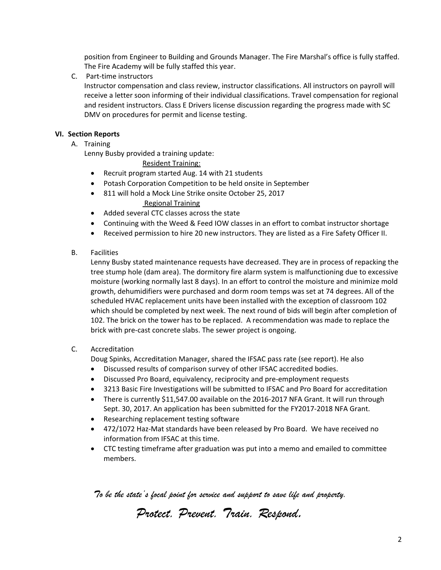position from Engineer to Building and Grounds Manager. The Fire Marshal's office is fully staffed. The Fire Academy will be fully staffed this year.

C. Part-time instructors

Instructor compensation and class review, instructor classifications. All instructors on payroll will receive a letter soon informing of their individual classifications. Travel compensation for regional and resident instructors. Class E Drivers license discussion regarding the progress made with SC DMV on procedures for permit and license testing.

# **VI. Section Reports**

A. Training

Lenny Busby provided a training update:

Resident Training:

- Recruit program started Aug. 14 with 21 students
- Potash Corporation Competition to be held onsite in September
- 811 will hold a Mock Line Strike onsite October 25, 2017 Regional Training
- Added several CTC classes across the state
- Continuing with the Weed & Feed IOW classes in an effort to combat instructor shortage
- Received permission to hire 20 new instructors. They are listed as a Fire Safety Officer II.
- B. Facilities

Lenny Busby stated maintenance requests have decreased. They are in process of repacking the tree stump hole (dam area). The dormitory fire alarm system is malfunctioning due to excessive moisture (working normally last 8 days). In an effort to control the moisture and minimize mold growth, dehumidifiers were purchased and dorm room temps was set at 74 degrees. All of the scheduled HVAC replacement units have been installed with the exception of classroom 102 which should be completed by next week. The next round of bids will begin after completion of 102. The brick on the tower has to be replaced. A recommendation was made to replace the brick with pre-cast concrete slabs. The sewer project is ongoing.

# C. Accreditation

Doug Spinks, Accreditation Manager, shared the IFSAC pass rate (see report). He also

- Discussed results of comparison survey of other IFSAC accredited bodies.
- Discussed Pro Board, equivalency, reciprocity and pre-employment requests
- 3213 Basic Fire Investigations will be submitted to IFSAC and Pro Board for accreditation
- There is currently \$11,547.00 available on the 2016-2017 NFA Grant. It will run through Sept. 30, 2017. An application has been submitted for the FY2017-2018 NFA Grant.
- Researching replacement testing software
- 472/1072 Haz-Mat standards have been released by Pro Board. We have received no information from IFSAC at this time.
- CTC testing timeframe after graduation was put into a memo and emailed to committee members.

*Protect. Prevent. Train. Respond.*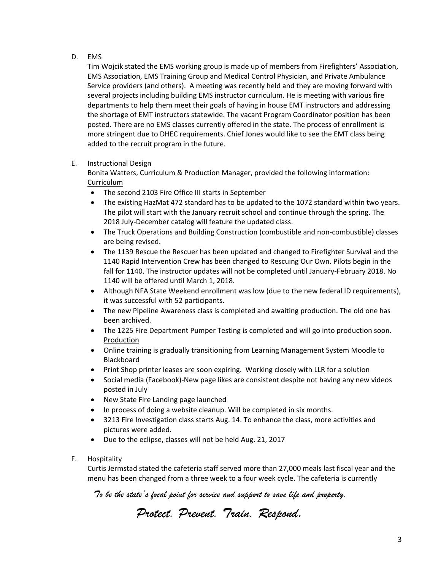# D. EMS

Tim Wojcik stated the EMS working group is made up of members from Firefighters' Association, EMS Association, EMS Training Group and Medical Control Physician, and Private Ambulance Service providers (and others). A meeting was recently held and they are moving forward with several projects including building EMS instructor curriculum. He is meeting with various fire departments to help them meet their goals of having in house EMT instructors and addressing the shortage of EMT instructors statewide. The vacant Program Coordinator position has been posted. There are no EMS classes currently offered in the state. The process of enrollment is more stringent due to DHEC requirements. Chief Jones would like to see the EMT class being added to the recruit program in the future.

E. Instructional Design

Bonita Watters, Curriculum & Production Manager, provided the following information: Curriculum

- The second 2103 Fire Office III starts in September
- The existing HazMat 472 standard has to be updated to the 1072 standard within two years. The pilot will start with the January recruit school and continue through the spring. The 2018 July-December catalog will feature the updated class.
- The Truck Operations and Building Construction (combustible and non-combustible) classes are being revised.
- The 1139 Rescue the Rescuer has been updated and changed to Firefighter Survival and the 1140 Rapid Intervention Crew has been changed to Rescuing Our Own. Pilots begin in the fall for 1140. The instructor updates will not be completed until January-February 2018. No 1140 will be offered until March 1, 2018.
- Although NFA State Weekend enrollment was low (due to the new federal ID requirements), it was successful with 52 participants.
- The new Pipeline Awareness class is completed and awaiting production. The old one has been archived.
- The 1225 Fire Department Pumper Testing is completed and will go into production soon. Production
- Online training is gradually transitioning from Learning Management System Moodle to Blackboard
- Print Shop printer leases are soon expiring. Working closely with LLR for a solution
- Social media (Facebook)-New page likes are consistent despite not having any new videos posted in July
- New State Fire Landing page launched
- In process of doing a website cleanup. Will be completed in six months.
- 3213 Fire Investigation class starts Aug. 14. To enhance the class, more activities and pictures were added.
- Due to the eclipse, classes will not be held Aug. 21, 2017
- F. Hospitality

Curtis Jermstad stated the cafeteria staff served more than 27,000 meals last fiscal year and the menu has been changed from a three week to a four week cycle. The cafeteria is currently

*Protect. Prevent. Train. Respond.*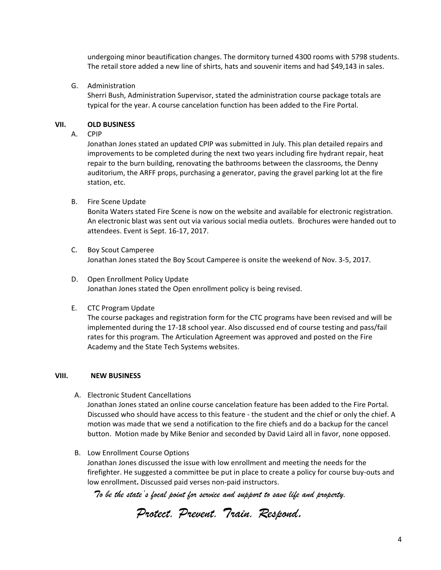undergoing minor beautification changes. The dormitory turned 4300 rooms with 5798 students. The retail store added a new line of shirts, hats and souvenir items and had \$49,143 in sales.

G. Administration

Sherri Bush, Administration Supervisor, stated the administration course package totals are typical for the year. A course cancelation function has been added to the Fire Portal.

#### **VII. OLD BUSINESS**

A. CPIP

Jonathan Jones stated an updated CPIP was submitted in July. This plan detailed repairs and improvements to be completed during the next two years including fire hydrant repair, heat repair to the burn building, renovating the bathrooms between the classrooms, the Denny auditorium, the ARFF props, purchasing a generator, paving the gravel parking lot at the fire station, etc.

B. Fire Scene Update

Bonita Waters stated Fire Scene is now on the website and available for electronic registration. An electronic blast was sent out via various social media outlets. Brochures were handed out to attendees. Event is Sept. 16-17, 2017.

- C. Boy Scout Camperee Jonathan Jones stated the Boy Scout Camperee is onsite the weekend of Nov. 3-5, 2017.
- D. Open Enrollment Policy Update Jonathan Jones stated the Open enrollment policy is being revised.
- E. CTC Program Update

The course packages and registration form for the CTC programs have been revised and will be implemented during the 17-18 school year. Also discussed end of course testing and pass/fail rates for this program. The Articulation Agreement was approved and posted on the Fire Academy and the State Tech Systems websites.

#### **VIII. NEW BUSINESS**

A. Electronic Student Cancellations

Jonathan Jones stated an online course cancelation feature has been added to the Fire Portal. Discussed who should have access to this feature - the student and the chief or only the chief. A motion was made that we send a notification to the fire chiefs and do a backup for the cancel button. Motion made by Mike Benior and seconded by David Laird all in favor, none opposed.

B. Low Enrollment Course Options Jonathan Jones discussed the issue with low enrollment and meeting the needs for the firefighter. He suggested a committee be put in place to create a policy for course buy-outs and low enrollment**.** Discussed paid verses non-paid instructors.

*Protect. Prevent. Train. Respond.*